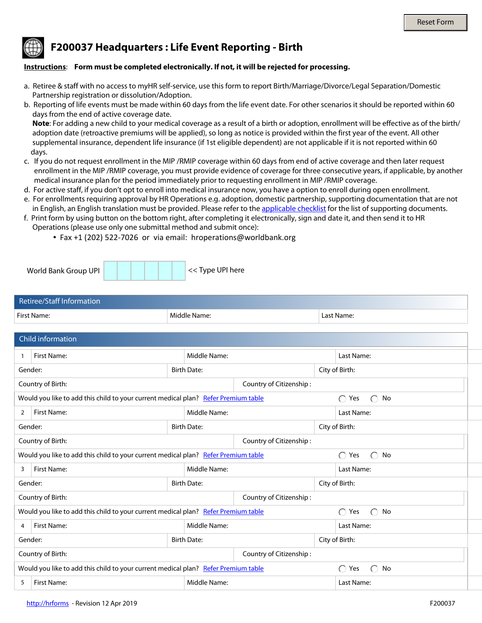## **F200037 Headquarters : Life Event Reporting - Birth**

## **Instructions**: **Form must be completed electronically. If not, it will be rejected for processing.**

- a. Retiree & staff with no access to myHR self-service, use this form to report Birth/Marriage/Divorce/Legal Separation/Domestic Partnership registration or dissolution/Adoption.
- b. Reporting of life events must be made within 60 days from the life event date. For other scenarios it should be reported within 60 days from the end of active coverage date.

 **Note**: For adding a new child to your medical coverage as a result of a birth or adoption, enrollment will be effective as of the birth/ adoption date (retroactive premiums will be applied), so long as notice is provided within the first year of the event. All other supplemental insurance, dependent life insurance (if 1st eligible dependent) are not applicable if it is not reported within 60 days.

- c. If you do not request enrollment in the MIP /RMIP coverage within 60 days from end of active coverage and then later request enrollment in the MIP /RMIP coverage, you must provide evidence of coverage for three consecutive years, if applicable, by another medical insurance plan for the period immediately prior to requesting enrollment in MIP /RMIP coverage.
- d. For active staff, if you don't opt to enroll into medical insurance now, you have a option to enroll during open enrollment.
- e. For enrollments requiring approval by HR Operations e.g. adoption, domestic partnership, supporting documentation that are not in English, an English translation must be provided. Please refer to the [applicable checklist](http://www.worldbank.org/en/about/unit/human-resources/household-changes-and-life-events-reporting) for the list of supporting documents.
- f. Print form by using button on the bottom right, after completing it electronically, sign and date it, and then send it to HR Operations (please use only one submittal method and submit once):
	- Fax +1 (202) 522-7026 or via email: hroperations@worldbank.org

| World Bank Group UPI | << Type UPI here |
|----------------------|------------------|
|                      |                  |

| Retiree/Staff Information |              |            |
|---------------------------|--------------|------------|
| First Name:               | Middle Name: | Last Name: |

|                                                                                              | <b>Child information</b>                                                                                                   |                    |  |                          |                                     |  |
|----------------------------------------------------------------------------------------------|----------------------------------------------------------------------------------------------------------------------------|--------------------|--|--------------------------|-------------------------------------|--|
|                                                                                              | <b>First Name:</b>                                                                                                         | Middle Name:       |  |                          | Last Name:                          |  |
| Gender:                                                                                      | $\overline{\phantom{a}}$                                                                                                   | <b>Birth Date:</b> |  |                          | City of Birth:                      |  |
|                                                                                              | Country of Citizenship:<br>Country of Birth:<br>$\blacktriangledown$                                                       |                    |  | $\blacktriangledown$     |                                     |  |
|                                                                                              | Would you like to add this child to your current medical plan? Refer Premium table                                         |                    |  |                          | $\bigcap$<br>Yes<br>$\bigcap$<br>No |  |
| 2                                                                                            | <b>First Name:</b>                                                                                                         | Middle Name:       |  |                          | Last Name:                          |  |
| Gender:                                                                                      |                                                                                                                            | <b>Birth Date:</b> |  |                          | City of Birth:                      |  |
|                                                                                              | Country of Birth:<br>Country of Citizenship:<br>$\blacktriangledown$                                                       |                    |  |                          |                                     |  |
|                                                                                              | Would you like to add this child to your current medical plan? Refer Premium table                                         |                    |  |                          | $\bigcirc$<br>$\bigcap$ No<br>Yes   |  |
| 3                                                                                            | First Name:                                                                                                                | Middle Name:       |  |                          | Last Name:                          |  |
| Gender:                                                                                      | $\overline{\phantom{a}}$                                                                                                   | <b>Birth Date:</b> |  |                          | City of Birth:                      |  |
|                                                                                              | Country of Birth:<br>Country of Citizenship:<br>$\blacktriangledown$                                                       |                    |  | $\overline{\phantom{a}}$ |                                     |  |
|                                                                                              | $\bigcirc$<br>Would you like to add this child to your current medical plan? Refer Premium table<br>Yes<br>No<br>$\bigcap$ |                    |  |                          |                                     |  |
| 4                                                                                            | <b>First Name:</b>                                                                                                         | Middle Name:       |  |                          | Last Name:                          |  |
| Gender:                                                                                      | $\overline{\phantom{a}}$                                                                                                   | <b>Birth Date:</b> |  |                          | City of Birth:                      |  |
| Country of Citizenship:<br>Country of Birth:<br>$\blacktriangledown$<br>$\blacktriangledown$ |                                                                                                                            |                    |  |                          |                                     |  |
|                                                                                              | Would you like to add this child to your current medical plan? Refer Premium table<br>$\bigcap$ Yes<br>No                  |                    |  |                          |                                     |  |
| 5                                                                                            | <b>First Name:</b>                                                                                                         | Middle Name:       |  |                          | Last Name:                          |  |